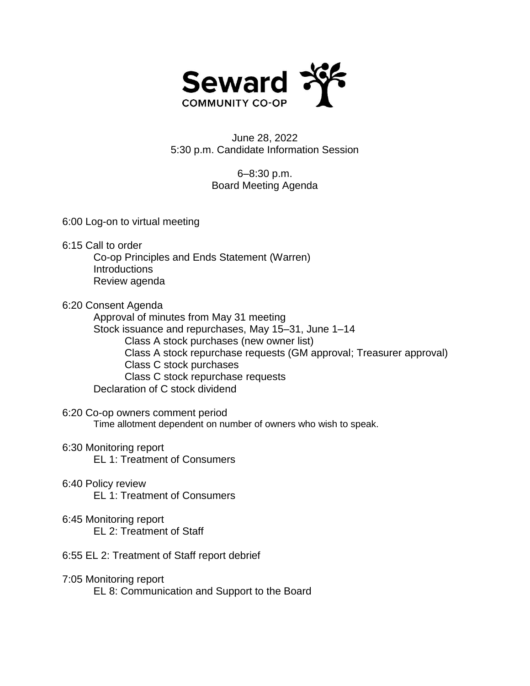

## June 28, 2022 5:30 p.m. Candidate Information Session

## 6–8:30 p.m. Board Meeting Agenda

6:00 Log-on to virtual meeting

- 6:15 Call to order
	- Co-op Principles and Ends Statement (Warren) Introductions Review agenda

## 6:20 Consent Agenda

Approval of minutes from May 31 meeting

- Stock issuance and repurchases, May 15–31, June 1–14
	- Class A stock purchases (new owner list)
	- Class A stock repurchase requests (GM approval; Treasurer approval)
	- Class C stock purchases
	- Class C stock repurchase requests
- Declaration of C stock dividend

## 6:20 Co-op owners comment period

Time allotment dependent on number of owners who wish to speak.

- 6:30 Monitoring report
	- EL 1: Treatment of Consumers
- 6:40 Policy review EL 1: Treatment of Consumers
- 6:45 Monitoring report EL 2: Treatment of Staff
- 6:55 EL 2: Treatment of Staff report debrief
- 7:05 Monitoring report EL 8: Communication and Support to the Board